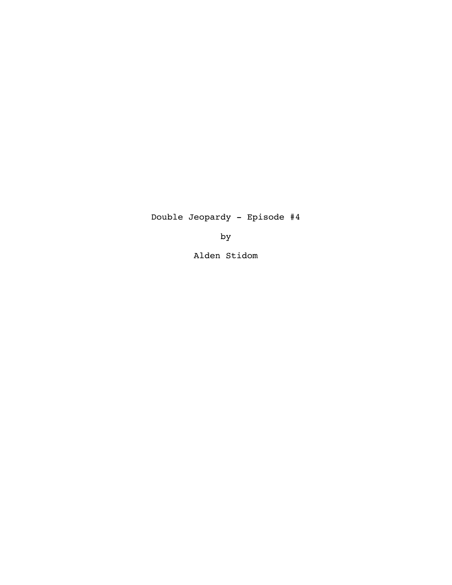Double Jeopardy - Episode #4

by

Alden Stidom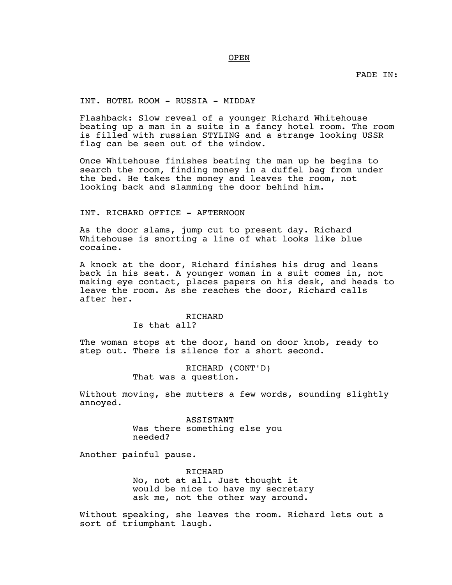FADE IN:

# INT. HOTEL ROOM - RUSSIA - MIDDAY

Flashback: Slow reveal of a younger Richard Whitehouse beating up a man in a suite in a fancy hotel room. The room is filled with russian STYLING and a strange looking USSR flag can be seen out of the window.

Once Whitehouse finishes beating the man up he begins to search the room, finding money in a duffel bag from under the bed. He takes the money and leaves the room, not looking back and slamming the door behind him.

### INT. RICHARD OFFICE - AFTERNOON

As the door slams, jump cut to present day. Richard Whitehouse is snorting a line of what looks like blue cocaine.

A knock at the door, Richard finishes his drug and leans back in his seat. A younger woman in a suit comes in, not making eye contact, places papers on his desk, and heads to leave the room. As she reaches the door, Richard calls after her.

> RICHARD Is that all?

The woman stops at the door, hand on door knob, ready to step out. There is silence for a short second.

> RICHARD (CONT'D) That was a question.

Without moving, she mutters a few words, sounding slightly annoyed.

> ASSISTANT Was there something else you needed?

Another painful pause.

RICHARD No, not at all. Just thought it would be nice to have my secretary ask me, not the other way around.

Without speaking, she leaves the room. Richard lets out a sort of triumphant laugh.

## OPEN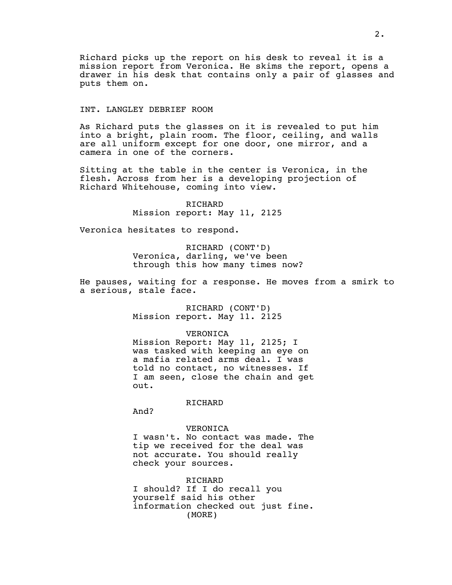Richard picks up the report on his desk to reveal it is a mission report from Veronica. He skims the report, opens a drawer in his desk that contains only a pair of glasses and puts them on.

## INT. LANGLEY DEBRIEF ROOM

As Richard puts the glasses on it is revealed to put him into a bright, plain room. The floor, ceiling, and walls are all uniform except for one door, one mirror, and a camera in one of the corners.

Sitting at the table in the center is Veronica, in the flesh. Across from her is a developing projection of Richard Whitehouse, coming into view.

> RICHARD Mission report: May 11, 2125

Veronica hesitates to respond.

RICHARD (CONT'D) Veronica, darling, we've been through this how many times now?

He pauses, waiting for a response. He moves from a smirk to a serious, stale face.

> RICHARD (CONT'D) Mission report. May 11. 2125

# VERONICA

Mission Report: May 11, 2125; I was tasked with keeping an eye on a mafia related arms deal. I was told no contact, no witnesses. If I am seen, close the chain and get out.

RICHARD

And?

VERONICA I wasn't. No contact was made. The tip we received for the deal was not accurate. You should really check your sources.

RICHARD I should? If I do recall you yourself said his other information checked out just fine. (MORE)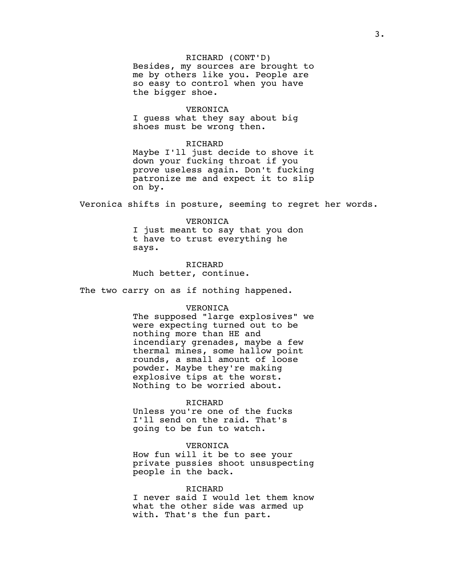# RICHARD (CONT'D)

Besides, my sources are brought to me by others like you. People are so easy to control when you have the bigger shoe.

## VERONICA

I guess what they say about big shoes must be wrong then.

#### RICHARD

Maybe I'll just decide to shove it down your fucking throat if you prove useless again. Don't fucking patronize me and expect it to slip on by.

Veronica shifts in posture, seeming to regret her words.

VERONICA I just meant to say that you don t have to trust everything he says.

RICHARD Much better, continue.

The two carry on as if nothing happened.

### VERONICA

The supposed "large explosives" we were expecting turned out to be nothing more than HE and incendiary grenades, maybe a few thermal mines, some hallow point rounds, a small amount of loose powder. Maybe they're making explosive tips at the worst. Nothing to be worried about.

#### RICHARD

Unless you're one of the fucks I'll send on the raid. That's going to be fun to watch.

#### VERONICA

How fun will it be to see your private pussies shoot unsuspecting people in the back.

## RICHARD

I never said I would let them know what the other side was armed up with. That's the fun part.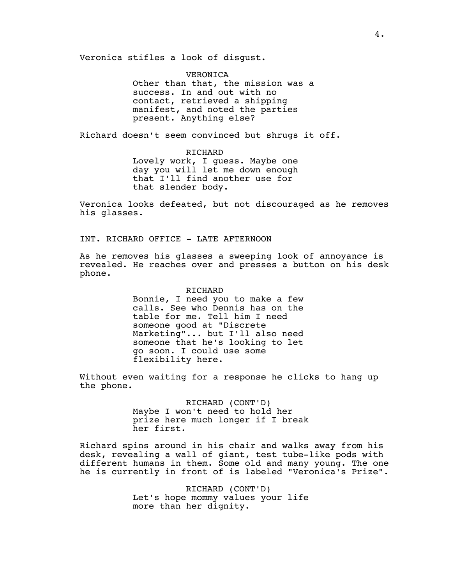Veronica stifles a look of disgust.

VERONICA Other than that, the mission was a success. In and out with no contact, retrieved a shipping manifest, and noted the parties present. Anything else?

Richard doesn't seem convinced but shrugs it off.

RICHARD Lovely work, I guess. Maybe one day you will let me down enough that I'll find another use for that slender body.

Veronica looks defeated, but not discouraged as he removes his glasses.

INT. RICHARD OFFICE - LATE AFTERNOON

As he removes his glasses a sweeping look of annoyance is revealed. He reaches over and presses a button on his desk phone.

#### RICHARD

Bonnie, I need you to make a few calls. See who Dennis has on the table for me. Tell him I need someone good at "Discrete Marketing"... but I'll also need someone that he's looking to let go soon. I could use some flexibility here.

Without even waiting for a response he clicks to hang up the phone.

> RICHARD (CONT'D) Maybe I won't need to hold her prize here much longer if I break her first.

Richard spins around in his chair and walks away from his desk, revealing a wall of giant, test tube-like pods with different humans in them. Some old and many young. The one he is currently in front of is labeled "Veronica's Prize".

> RICHARD (CONT'D) Let's hope mommy values your life more than her dignity.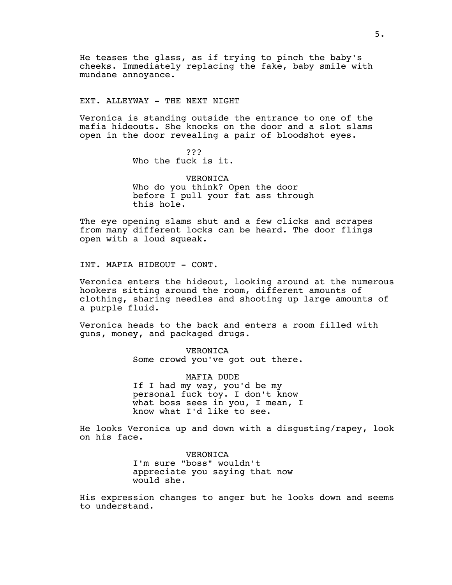He teases the glass, as if trying to pinch the baby's cheeks. Immediately replacing the fake, baby smile with mundane annoyance.

### EXT. ALLEYWAY - THE NEXT NIGHT

Veronica is standing outside the entrance to one of the mafia hideouts. She knocks on the door and a slot slams open in the door revealing a pair of bloodshot eyes.

> ??? Who the fuck is it.

VERONICA Who do you think? Open the door before I pull your fat ass through this hole.

The eye opening slams shut and a few clicks and scrapes from many different locks can be heard. The door flings open with a loud squeak.

INT. MAFIA HIDEOUT - CONT.

Veronica enters the hideout, looking around at the numerous hookers sitting around the room, different amounts of clothing, sharing needles and shooting up large amounts of a purple fluid.

Veronica heads to the back and enters a room filled with guns, money, and packaged drugs.

> VERONICA Some crowd you've got out there.

> MAFIA DUDE If I had my way, you'd be my personal fuck toy. I don't know what boss sees in you, I mean, I know what I'd like to see.

He looks Veronica up and down with a disgusting/rapey, look on his face.

> VERONICA I'm sure "boss" wouldn't appreciate you saying that now would she.

His expression changes to anger but he looks down and seems to understand.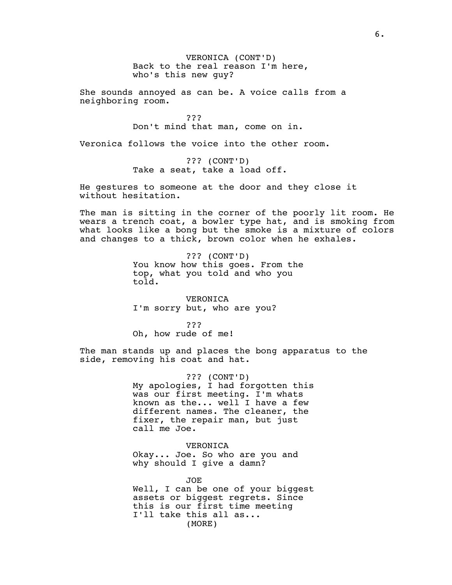VERONICA (CONT'D) Back to the real reason I'm here, who's this new guy?

She sounds annoyed as can be. A voice calls from a neighboring room.

> ??? Don't mind that man, come on in.

Veronica follows the voice into the other room.

??? (CONT'D) Take a seat, take a load off.

He gestures to someone at the door and they close it without hesitation.

The man is sitting in the corner of the poorly lit room. He wears a trench coat, a bowler type hat, and is smoking from what looks like a bong but the smoke is a mixture of colors and changes to a thick, brown color when he exhales.

> ??? (CONT'D) You know how this goes. From the top, what you told and who you told.

VERONICA I'm sorry but, who are you?

??? Oh, how rude of me!

The man stands up and places the bong apparatus to the side, removing his coat and hat.

> ??? (CONT'D) My apologies,  $\overline{I}$  had forgotten this was our first meeting. I'm whats known as the... well I have a few different names. The cleaner, the fixer, the repair man, but just call me Joe.

VERONICA Okay... Joe. So who are you and why should I give a damn?

JOE Well, I can be one of your biggest assets or biggest regrets. Since this is our first time meeting I'll take this all as... (MORE)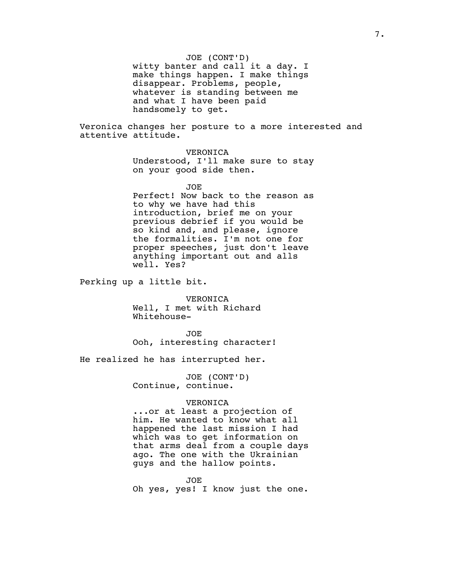## JOE (CONT'D)

witty banter and call it a day. I make things happen. I make things disappear. Problems, people, whatever is standing between me and what I have been paid handsomely to get.

Veronica changes her posture to a more interested and attentive attitude.

> VERONICA Understood, I'll make sure to stay on your good side then.

> JOE Perfect! Now back to the reason as to why we have had this introduction, brief me on your previous debrief if you would be so kind and, and please, ignore the formalities. I'm not one for proper speeches, just don't leave anything important out and alls well. Yes?

Perking up a little bit.

VERONICA Well, I met with Richard Whitehouse-

JOE Ooh, interesting character!

He realized he has interrupted her.

JOE (CONT'D) Continue, continue.

#### VERONICA

...or at least a projection of him. He wanted to know what all happened the last mission I had which was to get information on that arms deal from a couple days ago. The one with the Ukrainian guys and the hallow points.

JOE

Oh yes, yes! I know just the one.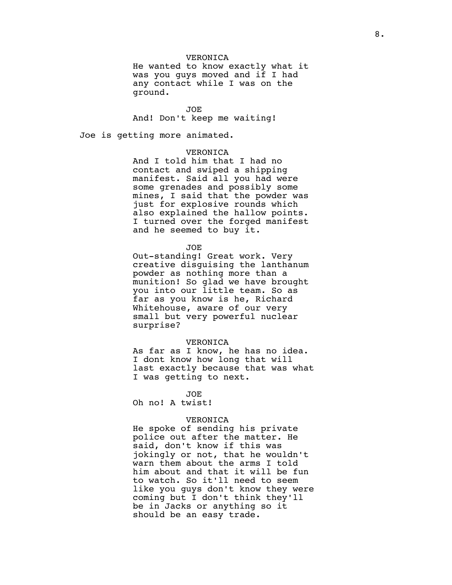## VERONICA

He wanted to know exactly what it was you guys moved and if I had any contact while I was on the ground.

JOE

And! Don't keep me waiting!

Joe is getting more animated.

## VERONICA

And I told him that I had no contact and swiped a shipping manifest. Said all you had were some grenades and possibly some mines, I said that the powder was just for explosive rounds which also explained the hallow points. I turned over the forged manifest and he seemed to buy it.

JOE

Out-standing! Great work. Very creative disguising the lanthanum powder as nothing more than a munition! So glad we have brought you into our little team. So as far as you know is he, Richard Whitehouse, aware of our very small but very powerful nuclear surprise?

#### VERONICA

As far as I know, he has no idea. I dont know how long that will last exactly because that was what I was getting to next.

JOE

Oh no! A twist!

### VERONICA

He spoke of sending his private police out after the matter. He said, don't know if this was jokingly or not, that he wouldn't warn them about the arms I told him about and that it will be fun to watch. So it'll need to seem like you guys don't know they were coming but I don't think they'll be in Jacks or anything so it should be an easy trade.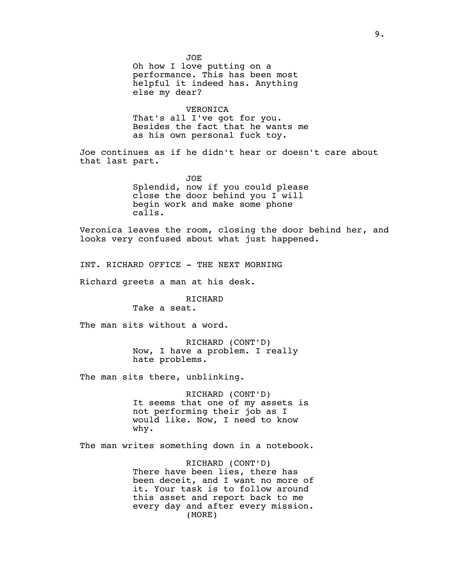JOE Oh how I love putting on a performance. This has been most helpful it indeed has. Anything else my dear?

## VERONICA

That's all I've got for you. Besides the fact that he wants me as his own personal fuck toy.

Joe continues as if he didn't hear or doesn't care about that last part.

> JOE Splendid, now if you could please close the door behind you I will begin work and make some phone calls.

Veronica leaves the room, closing the door behind her, and looks very confused about what just happened.

INT. RICHARD OFFICE - THE NEXT MORNING

Richard greets a man at his desk.

# RICHARD

Take a seat.

The man sits without a word.

RICHARD (CONT'D) Now, I have a problem. I really hate problems.

The man sits there, unblinking.

RICHARD (CONT'D) It seems that one of my assets is not performing their job as I would like. Now, I need to know why.

The man writes something down in a notebook.

RICHARD (CONT'D) There have been lies, there has been deceit, and I want no more of it. Your task is to follow around this asset and report back to me every day and after every mission. (MORE)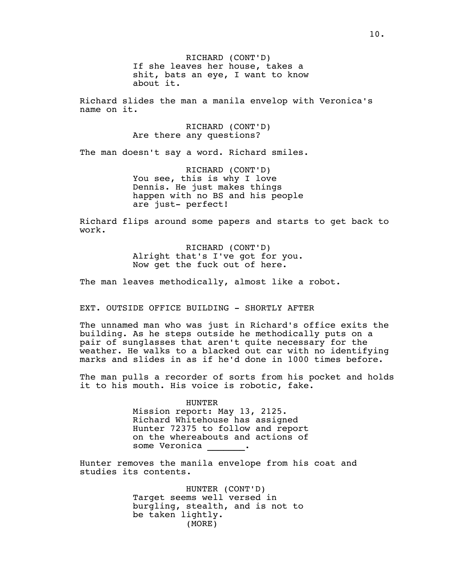RICHARD (CONT'D) If she leaves her house, takes a shit, bats an eye, I want to know about it.

Richard slides the man a manila envelop with Veronica's name on it.

> RICHARD (CONT'D) Are there any questions?

The man doesn't say a word. Richard smiles.

RICHARD (CONT'D) You see, this is why I love Dennis. He just makes things happen with no BS and his people are just- perfect!

Richard flips around some papers and starts to get back to work.

> RICHARD (CONT'D) Alright that's I've got for you. Now get the fuck out of here.

The man leaves methodically, almost like a robot.

EXT. OUTSIDE OFFICE BUILDING - SHORTLY AFTER

The unnamed man who was just in Richard's office exits the building. As he steps outside he methodically puts on a pair of sunglasses that aren't quite necessary for the weather. He walks to a blacked out car with no identifying marks and slides in as if he'd done in 1000 times before.

The man pulls a recorder of sorts from his pocket and holds it to his mouth. His voice is robotic, fake.

> HUNTER Mission report: May 13, 2125. Richard Whitehouse has assigned Hunter 72375 to follow and report on the whereabouts and actions of some Veronica \_\_\_\_\_\_\_.

Hunter removes the manila envelope from his coat and studies its contents.

> HUNTER (CONT'D) Target seems well versed in burgling, stealth, and is not to be taken lightly. (MORE)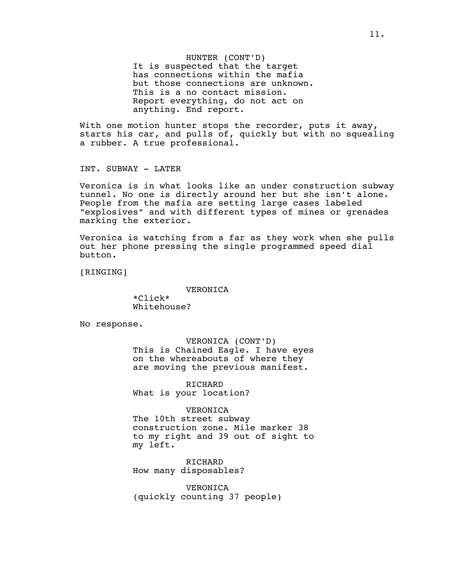HUNTER (CONT'D) It is suspected that the target has connections within the mafia but those connections are unknown. This is a no contact mission. Report everything, do not act on anything. End report.

With one motion hunter stops the recorder, puts it away, starts his car, and pulls of, quickly but with no squealing a rubber. A true professional.

INT. SUBWAY - LATER

Veronica is in what looks like an under construction subway tunnel. No one is directly around her but she isn't alone. People from the mafia are setting large cases labeled "explosives" and with different types of mines or grenades marking the exterior.

Veronica is watching from a far as they work when she pulls out her phone pressing the single programmed speed dial button.

[RINGING]

VERONICA

\*Click\* Whitehouse?

No response.

VERONICA (CONT'D) This is Chained Eagle. I have eyes on the whereabouts of where they are moving the previous manifest.

RICHARD What is your location?

VERONICA

The 10th street subway construction zone. Mile marker 38 to my right and 39 out of sight to my left.

RICHARD How many disposables?

VERONICA (quickly counting 37 people)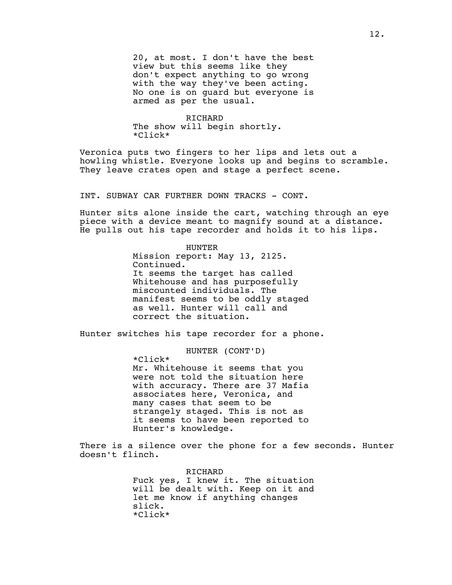20, at most. I don't have the best view but this seems like they don't expect anything to go wrong with the way they've been acting. No one is on guard but everyone is armed as per the usual.

RICHARD The show will begin shortly. \*Click\*

Veronica puts two fingers to her lips and lets out a howling whistle. Everyone looks up and begins to scramble. They leave crates open and stage a perfect scene.

INT. SUBWAY CAR FURTHER DOWN TRACKS - CONT.

Hunter sits alone inside the cart, watching through an eye piece with a device meant to magnify sound at a distance. He pulls out his tape recorder and holds it to his lips.

> HUNTER Mission report: May 13, 2125. Continued. It seems the target has called Whitehouse and has purposefully miscounted individuals. The manifest seems to be oddly staged as well. Hunter will call and correct the situation.

Hunter switches his tape recorder for a phone.

HUNTER (CONT'D)

\*Click\* Mr. Whitehouse it seems that you were not told the situation here with accuracy. There are 37 Mafia associates here, Veronica, and many cases that seem to be strangely staged. This is not as it seems to have been reported to Hunter's knowledge.

There is a silence over the phone for a few seconds. Hunter doesn't flinch.

> RICHARD Fuck yes, I knew it. The situation will be dealt with. Keep on it and let me know if anything changes slick. \*Click\*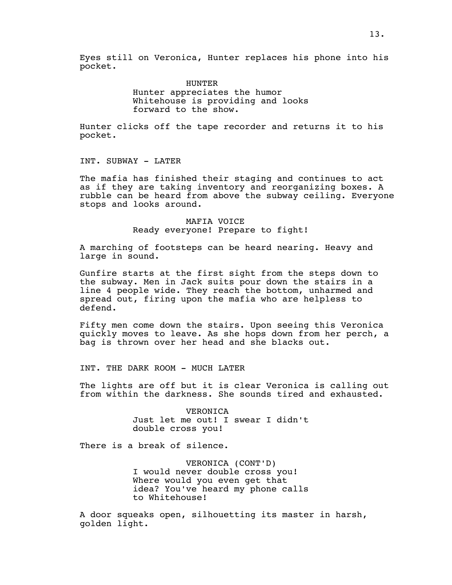Eyes still on Veronica, Hunter replaces his phone into his pocket.

> HUNTER Hunter appreciates the humor Whitehouse is providing and looks forward to the show.

Hunter clicks off the tape recorder and returns it to his pocket.

INT. SUBWAY - LATER

The mafia has finished their staging and continues to act as if they are taking inventory and reorganizing boxes. A rubble can be heard from above the subway ceiling. Everyone stops and looks around.

# MAFIA VOICE Ready everyone! Prepare to fight!

A marching of footsteps can be heard nearing. Heavy and large in sound.

Gunfire starts at the first sight from the steps down to the subway. Men in Jack suits pour down the stairs in a line 4 people wide. They reach the bottom, unharmed and spread out, firing upon the mafia who are helpless to defend.

Fifty men come down the stairs. Upon seeing this Veronica quickly moves to leave. As she hops down from her perch, a bag is thrown over her head and she blacks out.

INT. THE DARK ROOM - MUCH LATER

The lights are off but it is clear Veronica is calling out from within the darkness. She sounds tired and exhausted.

> VERONICA Just let me out! I swear I didn't double cross you!

There is a break of silence.

VERONICA (CONT'D) I would never double cross you! Where would you even get that idea? You've heard my phone calls to Whitehouse!

A door squeaks open, silhouetting its master in harsh, golden light.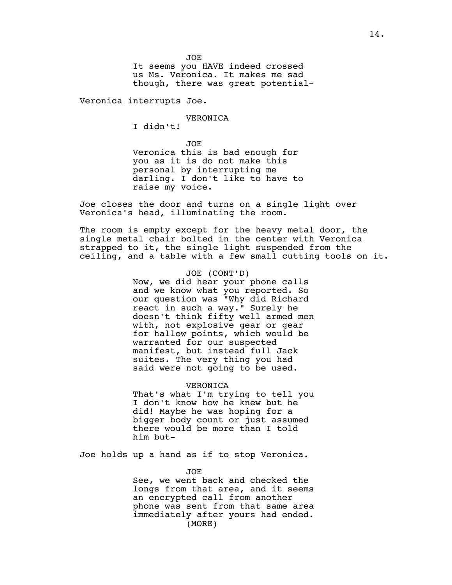JOE It seems you HAVE indeed crossed us Ms. Veronica. It makes me sad though, there was great potential-

Veronica interrupts Joe.

## VERONICA

I didn't!

JOE Veronica this is bad enough for you as it is do not make this personal by interrupting me darling. I don't like to have to raise my voice.

Joe closes the door and turns on a single light over Veronica's head, illuminating the room.

The room is empty except for the heavy metal door, the single metal chair bolted in the center with Veronica strapped to it, the single light suspended from the ceiling, and a table with a few small cutting tools on it.

> JOE (CONT'D) Now, we did hear your phone calls and we know what you reported. So our question was "Why did Richard react in such a way." Surely he doesn't think fifty well armed men with, not explosive gear or gear for hallow points, which would be warranted for our suspected manifest, but instead full Jack suites. The very thing you had said were not going to be used.

#### VERONICA

That's what I'm trying to tell you I don't know how he knew but he did! Maybe he was hoping for a bigger body count or just assumed there would be more than I told him but-

Joe holds up a hand as if to stop Veronica.

JOE

See, we went back and checked the longs from that area, and it seems an encrypted call from another phone was sent from that same area immediately after yours had ended. (MORE)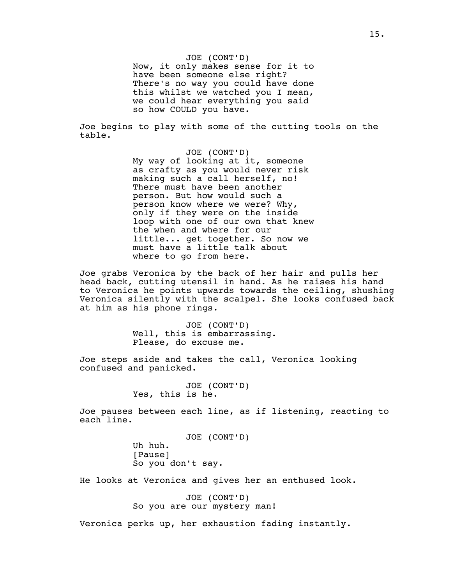Joe begins to play with some of the cutting tools on the table.

> JOE (CONT'D) My way of looking at it, someone as crafty as you would never risk making such a call herself, no! There must have been another person. But how would such a person know where we were? Why, only if they were on the inside loop with one of our own that knew the when and where for our little... get together. So now we must have a little talk about where to go from here.

Joe grabs Veronica by the back of her hair and pulls her head back, cutting utensil in hand. As he raises his hand to Veronica he points upwards towards the ceiling, shushing Veronica silently with the scalpel. She looks confused back at him as his phone rings.

> JOE (CONT'D) Well, this is embarrassing. Please, do excuse me.

Joe steps aside and takes the call, Veronica looking confused and panicked.

> JOE (CONT'D) Yes, this is he.

Joe pauses between each line, as if listening, reacting to each line.

> JOE (CONT'D) Uh huh. [Pause] So you don't say.

He looks at Veronica and gives her an enthused look.

JOE (CONT'D) So you are our mystery man!

Veronica perks up, her exhaustion fading instantly.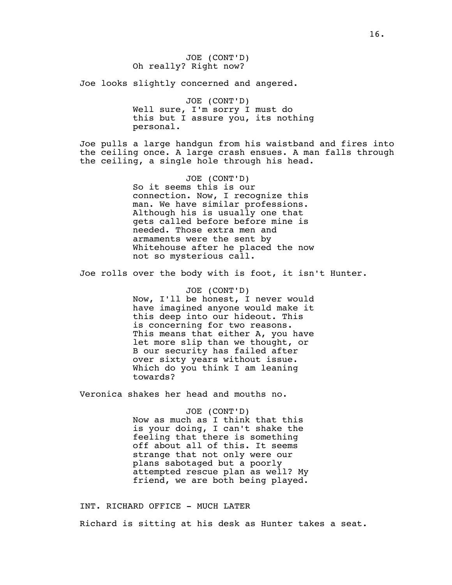Joe looks slightly concerned and angered.

JOE (CONT'D) Well sure, I'm sorry I must do this but I assure you, its nothing personal.

Joe pulls a large handgun from his waistband and fires into the ceiling once. A large crash ensues. A man falls through the ceiling, a single hole through his head.

> JOE (CONT'D) So it seems this is our connection. Now, I recognize this man. We have similar professions. Although his is usually one that gets called before before mine is needed. Those extra men and armaments were the sent by Whitehouse after he placed the now not so mysterious call.

Joe rolls over the body with is foot, it isn't Hunter.

JOE (CONT'D) Now, I'll be honest, I never would have imagined anyone would make it this deep into our hideout. This is concerning for two reasons. This means that either A, you have let more slip than we thought, or B our security has failed after over sixty years without issue. Which do you think I am leaning towards?

Veronica shakes her head and mouths no.

JOE (CONT'D) Now as much as I think that this is your doing, I can't shake the feeling that there is something off about all of this. It seems strange that not only were our plans sabotaged but a poorly attempted rescue plan as well? My friend, we are both being played.

INT. RICHARD OFFICE - MUCH LATER Richard is sitting at his desk as Hunter takes a seat.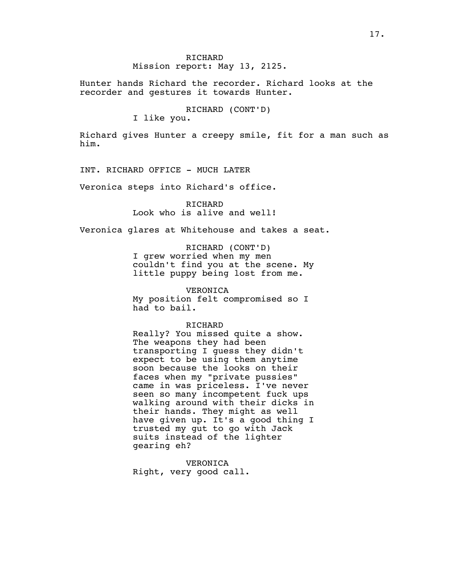## Mission report: May 13, 2125.

Hunter hands Richard the recorder. Richard looks at the recorder and gestures it towards Hunter.

RICHARD (CONT'D)

I like you.

Richard gives Hunter a creepy smile, fit for a man such as him.

INT. RICHARD OFFICE - MUCH LATER

Veronica steps into Richard's office.

RICHARD Look who is alive and well!

Veronica glares at Whitehouse and takes a seat.

RICHARD (CONT'D) I grew worried when my men

couldn't find you at the scene. My little puppy being lost from me.

VERONICA

My position felt compromised so I had to bail.

## RICHARD

Really? You missed quite a show. The weapons they had been transporting I guess they didn't expect to be using them anytime soon because the looks on their faces when my "private pussies" came in was priceless. I've never seen so many incompetent fuck ups walking around with their dicks in their hands. They might as well have given up. It's a good thing I trusted my gut to go with Jack suits instead of the lighter gearing eh?

VERONICA Right, very good call.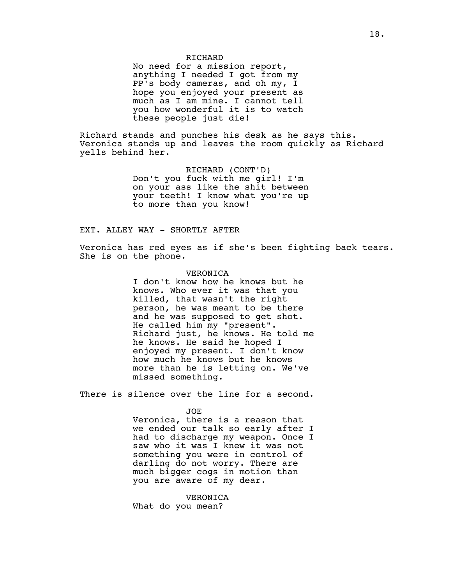No need for a mission report, anything I needed I got from my PP's body cameras, and oh my, I hope you enjoyed your present as much as I am mine. I cannot tell you how wonderful it is to watch these people just die!

Richard stands and punches his desk as he says this. Veronica stands up and leaves the room quickly as Richard yells behind her.

> RICHARD (CONT'D) Don't you fuck with me girl! I'm on your ass like the shit between your teeth! I know what you're up to more than you know!

## EXT. ALLEY WAY - SHORTLY AFTER

Veronica has red eyes as if she's been fighting back tears. She is on the phone.

## VERONICA

I don't know how he knows but he knows. Who ever it was that you killed, that wasn't the right person, he was meant to be there and he was supposed to get shot. He called him my "present". Richard just, he knows. He told me he knows. He said he hoped I enjoyed my present. I don't know how much he knows but he knows more than he is letting on. We've missed something.

There is silence over the line for a second.

#### JOE

Veronica, there is a reason that we ended our talk so early after I had to discharge my weapon. Once I saw who it was I knew it was not something you were in control of darling do not worry. There are much bigger cogs in motion than you are aware of my dear.

VERONICA What do you mean?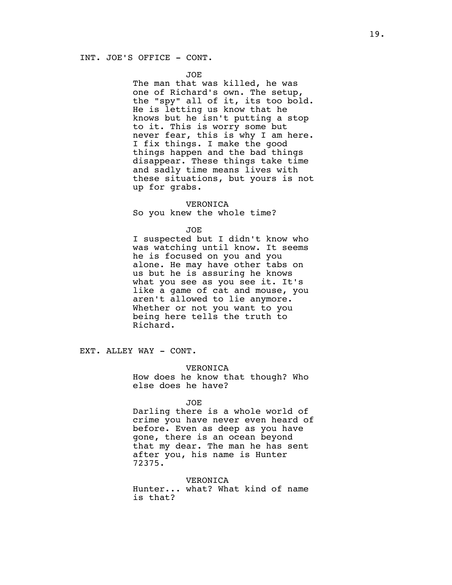## INT. JOE'S OFFICE - CONT.

### JOE

The man that was killed, he was one of Richard's own. The setup, the "spy" all of it, its too bold. He is letting us know that he knows but he isn't putting a stop to it. This is worry some but never fear, this is why I am here. I fix things. I make the good things happen and the bad things disappear. These things take time and sadly time means lives with these situations, but yours is not up for grabs.

### VERONICA

So you knew the whole time?

#### JOE

I suspected but I didn't know who was watching until know. It seems he is focused on you and you alone. He may have other tabs on us but he is assuring he knows what you see as you see it. It's like a game of cat and mouse, you aren't allowed to lie anymore. Whether or not you want to you being here tells the truth to Richard.

EXT. ALLEY WAY - CONT.

### VERONICA

How does he know that though? Who else does he have?

#### JOE

Darling there is a whole world of crime you have never even heard of before. Even as deep as you have gone, there is an ocean beyond that my dear. The man he has sent after you, his name is Hunter 72375.

## VERONICA

Hunter... what? What kind of name is that?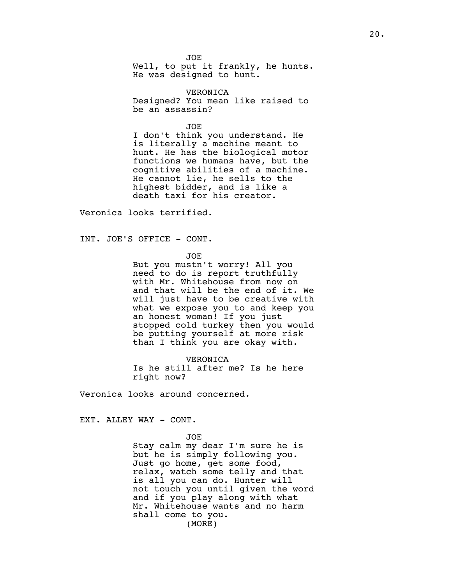JOE Well, to put it frankly, he hunts. He was designed to hunt.

VERONICA Designed? You mean like raised to be an assassin?

JOE I don't think you understand. He is literally a machine meant to hunt. He has the biological motor functions we humans have, but the cognitive abilities of a machine. He cannot lie, he sells to the highest bidder, and is like a death taxi for his creator.

Veronica looks terrified.

INT. JOE'S OFFICE - CONT.

JOE

But you mustn't worry! All you need to do is report truthfully with Mr. Whitehouse from now on and that will be the end of it. We will just have to be creative with what we expose you to and keep you an honest woman! If you just stopped cold turkey then you would be putting yourself at more risk than I think you are okay with.

VERONICA Is he still after me? Is he here right now?

Veronica looks around concerned.

EXT. ALLEY WAY - CONT.

JOE

Stay calm my dear I'm sure he is but he is simply following you. Just go home, get some food, relax, watch some telly and that is all you can do. Hunter will not touch you until given the word and if you play along with what Mr. Whitehouse wants and no harm shall come to you. (MORE)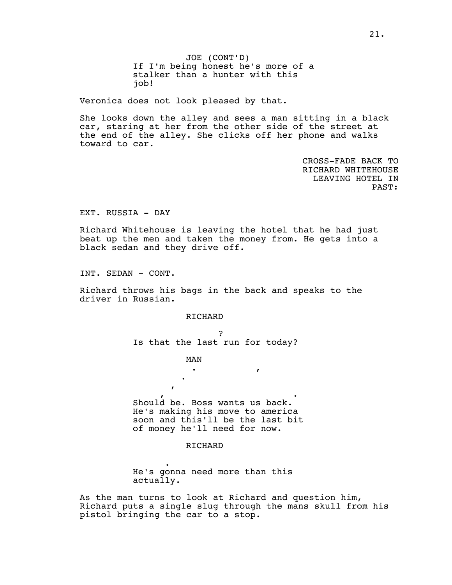JOE (CONT'D) If I'm being honest he's more of a stalker than a hunter with this job!

Veronica does not look pleased by that.

She looks down the alley and sees a man sitting in a black car, staring at her from the other side of the street at the end of the alley. She clicks off her phone and walks toward to car.

> CROSS-FADE BACK TO RICHARD WHITEHOUSE LEAVING HOTEL IN PAST:

EXT. RUSSIA - DAY

Richard Whitehouse is leaving the hotel that he had just beat up the men and taken the money from. He gets into a black sedan and they drive off.

INT. SEDAN - CONT.

Richard throws his bags in the back and speaks to the driver in Russian.

RICHARD

сегодняшний день? Is that the last run for today?

 $\mathbf{G}$ вернулись. Он скоро отправится  $\mathbf{A}$ 

MAN

денег, который ему понадобится. Should be. Boss wants us back. He's making his move to america soon and this'll be the last bit of money he'll need for now.

## RICHARD

 $\overline{\phantom{0}}$ He's gonna need more than this actually.

As the man turns to look at Richard and question him, Richard puts a single slug through the mans skull from his pistol bringing the car to a stop.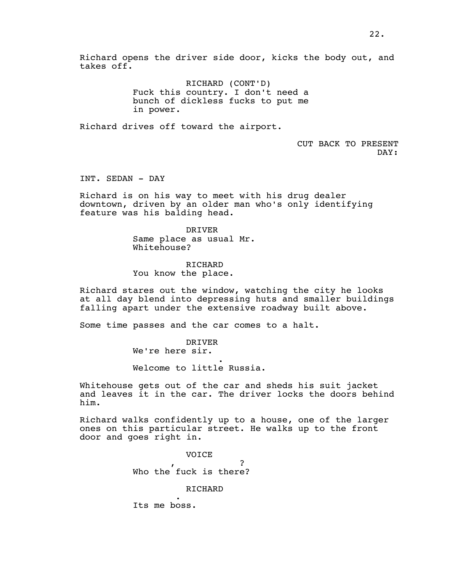RICHARD (CONT'D) Fuck this country. I don't need a bunch of dickless fucks to put me in power.

Richard drives off toward the airport.

CUT BACK TO PRESENT DAY:

INT. SEDAN - DAY

Richard is on his way to meet with his drug dealer downtown, driven by an older man who's only identifying feature was his balding head.

> DRIVER Same place as usual Mr. Whitehouse?

RICHARD You know the place.

Richard stares out the window, watching the city he looks at all day blend into depressing huts and smaller buildings falling apart under the extensive roadway built above.

Some time passes and the car comes to a halt.

DRIVER We're here sir. маленькую россию.

Welcome to little Russia.

Whitehouse gets out of the car and sheds his suit jacket and leaves it in the car. The driver locks the doors behind him.

Richard walks confidently up to a house, one of the larger ones on this particular street. He walks up to the front door and goes right in.

> VOICE Кто там, черт возьми? Who the fuck is there?

> > RICHARD

Its me boss.

Его босс.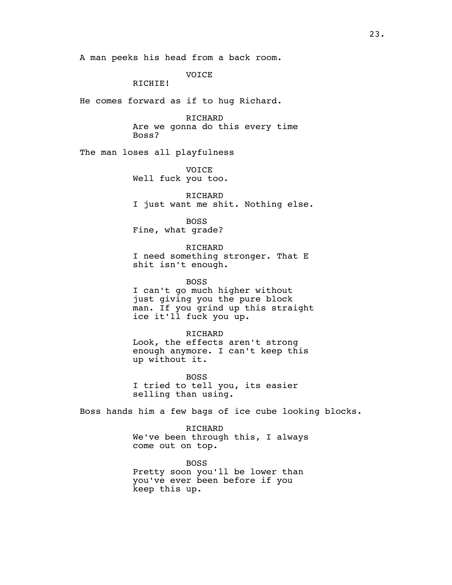A man peeks his head from a back room.

VOICE

RICHIE!

He comes forward as if to hug Richard.

RICHARD Are we gonna do this every time Boss?

The man loses all playfulness

VOICE Well fuck you too.

RICHARD I just want me shit. Nothing else.

BOSS Fine, what grade?

RICHARD I need something stronger. That E shit isn't enough.

BOSS I can't go much higher without just giving you the pure block man. If you grind up this straight ice it'll fuck you up.

RICHARD Look, the effects aren't strong enough anymore. I can't keep this up without it.

BOSS I tried to tell you, its easier selling than using.

Boss hands him a few bags of ice cube looking blocks.

**RICHARD** We've been through this, I always come out on top.

BOSS Pretty soon you'll be lower than you've ever been before if you keep this up.